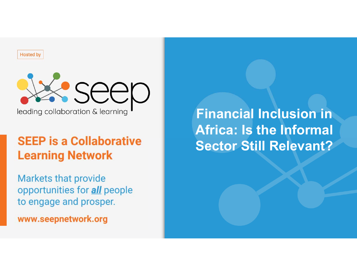**Hosted by** 



leading collaboration & learning

# **SEEP is a Collaborative Learning Network**

**Markets that provide** opportunities for *all* people to engage and prosper.

www.seepnetwork.org

**Financial Inclusion in Africa: Is the Informal Sector Still Relevant?**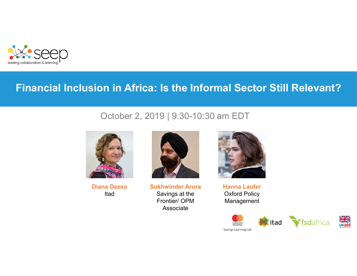

#### **Financial Inclusion in Africa: Is the Informal Sector Still Relevant?**

#### October 2, 2019 | 9:30-10:30 am EDT



**Diana Dezso**Itad



**Sukhwinder Arora** Savings at the Frontier/ OPM Associate



**Hanna Laufer** Oxford Policy Management

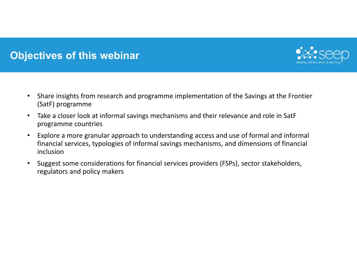## **Objectives of this webinar**



- $\bullet$  Share insights from research and programme implementation of the Savings at the Frontier (SatF) programme
- • Take a closer look at informal savings mechanisms and their relevance and role in SatF programme countries
- $\bullet$  Explore a more granular approach to understanding access and use of formal and informal financial services, typologies of informal savings mechanisms, and dimensions of financial inclusion
- • Suggest some considerations for financial services providers (FSPs), sector stakeholders, regulators and policy makers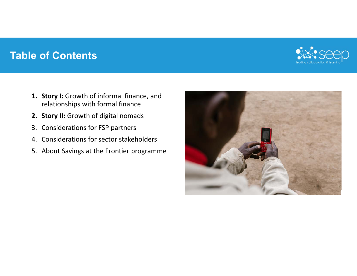#### **Table of Contents**



- **1. Story I:** Growth of informal finance, and relationships with formal finance
- **2. Story II:** Growth of digital nomads
- 3. Considerations for FSP partners
- 4. Considerations for sector stakeholders
- 5. About Savings at the Frontier programme

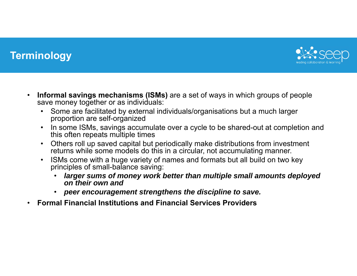

#### **Terminology**

- $\bullet$  **Informal savings mechanisms (ISMs)** are a set of ways in which groups of people save money together or as individuals:
	- • Some are facilitated by external individuals/organisations but a much larger proportion are self-organized
	- $\bullet$ In some ISMs, savings accumulate over a cycle to be shared-out at completion and this often repeats multiple times
	- $\bullet$  Others roll up saved capital but periodically make distributions from investment returns while some models do this in a circular, not accumulating manner.
	- $\bullet$  ISMs come with a huge variety of names and formats but all build on two key principles of small-balance saving:
		- • *larger sums of money work better than multiple small amounts deployed on their own and*
		- $\bullet$ *peer encouragement strengthens the discipline to save.*
- •**Formal Financial Institutions and Financial Services Providers**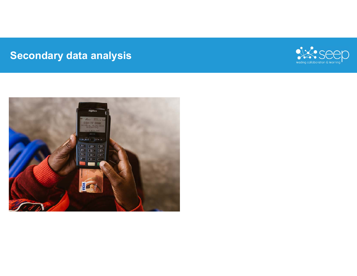# **Secondary data analysis**



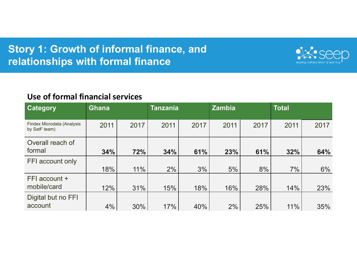## **Story 1: Growth of informal finance, and relationships with formal finance**



#### **Use of formal financial services**

| Category                                    | <b>Ghana</b> |      | <b>Tanzania</b> |      | <b>Zambia</b> |      | <b>Total</b> |      |
|---------------------------------------------|--------------|------|-----------------|------|---------------|------|--------------|------|
| Findex Microdata (Analysis<br>by SatF team) | 2011         | 2017 | 2011            | 2017 | 2011          | 2017 | 2011         | 2017 |
| Overall reach of<br>formal                  | 34%          | 72%  | 34%             | 61%  | 23%           | 61%  | 32%          | 64%  |
| FFI account only                            | 18%          | 11%  | 2%              | 3%   | 5%            | 8%   | 7%           | 6%   |
| FFI account +<br>mobile/card                | 12%          | 31%  | 15%             | 18%  | 16%           | 28%  | 14%          | 23%  |
| Digital but no FFI<br>account               | 4%           | 30%  | 17%             | 40%  | 2%            | 25%  | 11%          | 35%  |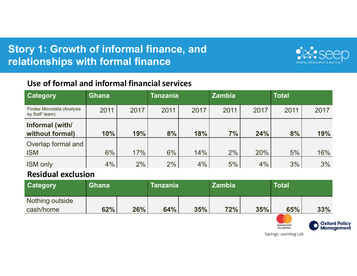## **Story 1: Growth of informal finance, and relationships with formal finance**



#### **Use of formal and informal financial services**

| Category                                    | <b>Ghana</b> |      | Tanzania |      | <b>Zambia</b> |      | <b>Total</b> |      |
|---------------------------------------------|--------------|------|----------|------|---------------|------|--------------|------|
| Findex Microdata (Analysis<br>by SatF team) | 2011         | 2017 | 2011     | 2017 | 2011          | 2017 | 2011         | 2017 |
| Informal (with/                             |              |      |          |      |               |      |              |      |
| without formal)                             | 10%          | 19%  | 8%       | 18%  | 7%            | 24%  | 8%           | 19%  |
| Overlap formal and                          |              |      |          |      |               |      |              |      |
| <b>ISM</b>                                  | 6%           | 17%  | 6%       | 14%  | 2%            | 20%  | 5%           | 16%  |
| <b>ISM only</b>                             | 4%           | 2%   | 2%       | 4%   | 5%            | 4%   | 3%           | 3%   |

#### **Residual exclusion**

| <b>Category</b> | <b>Ghana</b> |     | <b>Tanzania</b> |     | <b>Zambia</b> |     | Total |     |
|-----------------|--------------|-----|-----------------|-----|---------------|-----|-------|-----|
| Nothing outside |              |     |                 |     |               |     |       |     |
| cash/home       | 62%          | 26% | 64%             | 35% | 72%           | 35% | 65%   | 33% |

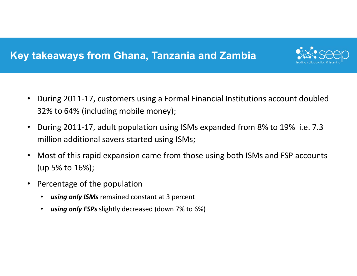## **Key takeaways from Ghana, Tanzania and Zambia**



- $\bullet$  During 2011‐17, customers using a Formal Financial Institutions account doubled 32% to 64% (including mobile money);
- • During 2011‐17, adult population using ISMs expanded from 8% to 19% i.e. 7.3 million additional savers started using ISMs;
- • Most of this rapid expansion came from those using both ISMs and FSP accounts (up 5% to 16%);
- $\bullet$  Percentage of the population
	- •*using only ISMs* remained constant at 3 percent
	- $\bullet$ *using only FSPs* slightly decreased (down 7% to 6%)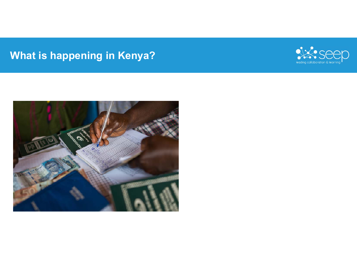# **What is happening in Kenya?**



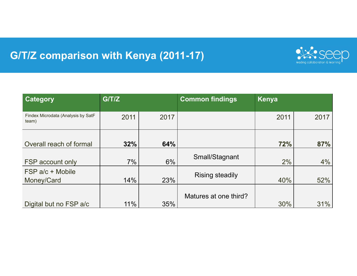# **G/T/Z comparison with Kenya (2011-17)**



| Category                                    | G/T/Z |      | <b>Common findings</b> | Kenya |      |
|---------------------------------------------|-------|------|------------------------|-------|------|
| Findex Microdata (Analysis by SatF<br>team) | 2011  | 2017 |                        | 2011  | 2017 |
| Overall reach of formal                     | 32%   | 64%  |                        | 72%   | 87%  |
| FSP account only                            | 7%    | 6%   | Small/Stagnant         | 2%    | 4%   |
| FSP a/c + Mobile<br>Money/Card              | 14%   | 23%  | <b>Rising steadily</b> | 40%   | 52%  |
| Digital but no FSP a/c                      | 11%   | 35%  | Matures at one third?  | 30%   | 31%  |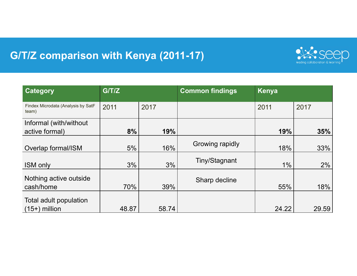# **G/T/Z comparison with Kenya (2011-17)**



| <b>Category</b>                             | G/T/Z |       | <b>Common findings</b> | Kenya |       |  |
|---------------------------------------------|-------|-------|------------------------|-------|-------|--|
| Findex Microdata (Analysis by SatF<br>team) | 2011  | 2017  |                        | 2011  | 2017  |  |
| Informal (with/without<br>active formal)    | 8%    | 19%   |                        | 19%   | 35%   |  |
| Overlap formal/ISM                          | 5%    | 16%   | Growing rapidly        | 18%   | 33%   |  |
| <b>ISM only</b>                             | 3%    | 3%    | Tiny/Stagnant          | $1\%$ | 2%    |  |
| Nothing active outside<br>cash/home         | 70%   | 39%   | Sharp decline          | 55%   | 18%   |  |
| Total adult population<br>$(15+)$ million   | 48.87 | 58.74 |                        | 24.22 | 29.59 |  |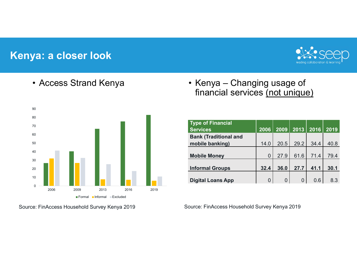#### **Kenya: a closer look**



#### • Access Strand Kenya



Source: FinAccess Household Survey Kenya 2019

• Kenya – Changing usage of financial services (not unique)

| <b>Type of Financial</b><br><b>Services</b> | 2006 | 2009 | 2013     | 2016 | 2019 |
|---------------------------------------------|------|------|----------|------|------|
| <b>Bank (Traditional and</b>                |      |      |          |      |      |
| mobile banking)                             | 14.0 | 20.5 | 29.2     | 34.4 | 40.8 |
|                                             |      |      |          |      |      |
| <b>Mobile Money</b>                         | 0    | 27.9 | 61.6     | 71.4 | 79.4 |
|                                             |      |      |          |      |      |
| <b>Informal Groups</b>                      | 32.4 | 36.0 | 27.7     | 41.1 | 30.1 |
|                                             |      |      |          |      |      |
| <b>Digital Loans App</b>                    | 0    | 0    | $\Omega$ | 0.6  | 8.3  |

Source: FinAccess Household Survey Kenya 2019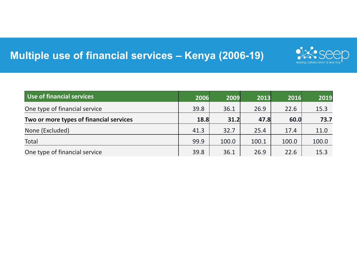## **Multiple use of financial services – Kenya (2006-19)**



| Use of financial services               | 2006 | 2009  | 2013  | 2016  | 2019  |
|-----------------------------------------|------|-------|-------|-------|-------|
| One type of financial service           | 39.8 | 36.1  | 26.9  | 22.6  | 15.3  |
| Two or more types of financial services | 18.8 | 31.2  | 47.8  | 60.0  | 73.7  |
| None (Excluded)                         | 41.3 | 32.7  | 25.4  | 17.4  | 11.0  |
| <b>Total</b>                            | 99.9 | 100.0 | 100.1 | 100.0 | 100.0 |
| One type of financial service           | 39.8 | 36.1  | 26.9  | 22.6  | 15.3  |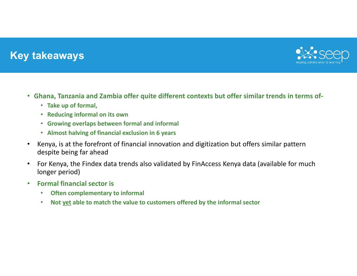#### **Key takeaways**



- **Ghana, Tanzania and Zambia offer quite different contexts but offer similar trends in terms of‐**
	- **Take up of formal,**
	- **Reducing informal on its own**
	- **Growing overlaps between formal and informal**
	- **Almost halving of financial exclusion in 6 years**
- • Kenya, is at the forefront of financial innovation and digitization but offers similar pattern despite being far ahead
- • For Kenya, the Findex data trends also validated by FinAccess Kenya data (available for much longer period)
- $\bullet$  **Formal financial sector is**
	- •**Often complementary to informal**
	- •**Not yet able to match the value to customers offered by the informal sector**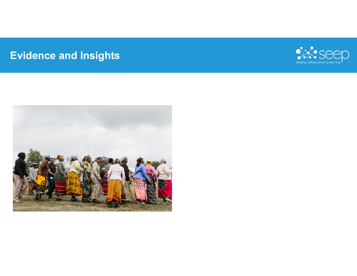# **Evidence and Insights**



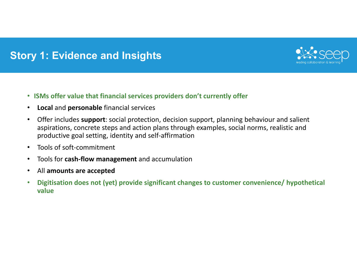

- •**Local** and **personable** financial services
- $\bullet$  Offer includes **support**: social protection, decision support, planning behaviour and salient aspirations, concrete steps and action plans through examples, social norms, realistic and productive goal setting, identity and self‐affirmation
- $\bullet$ Tools of soft‐commitment
- •Tools for **cash‐flow management** and accumulation
- •All **amounts are accepted**
- $\bullet$  **Digitisation does not (yet) provide significant changes to customer convenience/ hypothetical value**

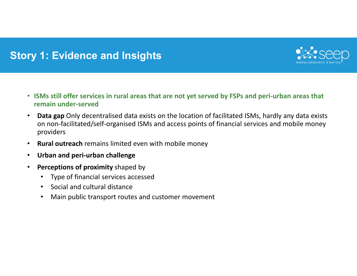

- **ISMs still offer services in rural areas that are not yet served by FSPs and peri‐urban areas that remain under‐served**
- • **Data gap** Only decentralised data exists on the location of facilitated ISMs, hardly any data exists on non‐facilitated/self‐organised ISMs and access points of financial services and mobile money providers
- •**Rural outreach** remains limited even with mobile money
- •**Urban and peri‐urban challenge**
- • **Perceptions of proximity** shaped by
	- $\bullet$ Type of financial services accessed
	- $\bullet$ Social and cultural distance
	- •Main public transport routes and customer movement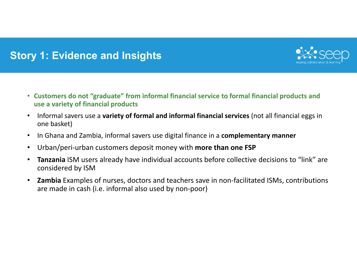

- **Customers do not "graduate" from informal financial service to formal financial products and use a variety of financial products**
- • Informal savers use a **variety of formal and informal financial services** (not all financial eggs in one basket)
- •In Ghana and Zambia, informal savers use digital finance in a **complementary manner**
- •Urban/peri‐urban customers deposit money with **more than one FSP**
- • **Tanzania** ISM users already have individual accounts before collective decisions to "link" are considered by ISM
- $\bullet$  **Zambia** Examples of nurses, doctors and teachers save in non‐facilitated ISMs, contributions are made in cash (i.e. informal also used by non‐poor)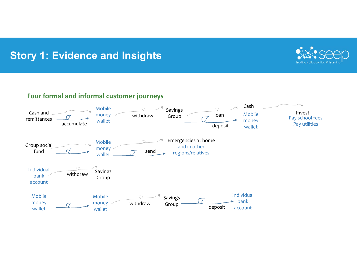

#### **Four formal and informal customer journeys**

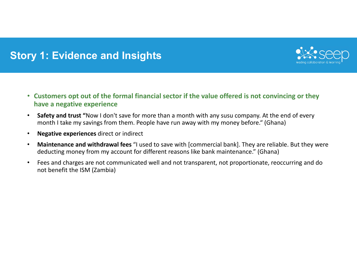

- **Customers opt out of the formal financial sector if the value offered is not convincing or they have a negative experience**
- • **Safety and trust "**Now I don't save for more than a month with any susu company. At the end of every month I take my savings from them. People have run away with my money before." (Ghana)
- •**Negative experiences** direct or indirect
- • **Maintenance and withdrawal fees** "I used to save with [commercial bank]. They are reliable. But they were deducting money from my account for different reasons like bank maintenance." (Ghana)
- • Fees and charges are not communicated well and not transparent, not proportionate, reoccurring and do not benefit the ISM (Zambia)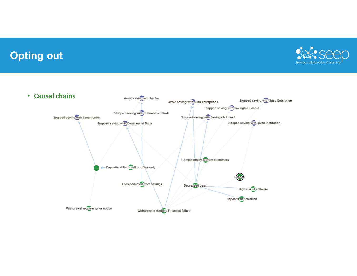#### **Opting out**



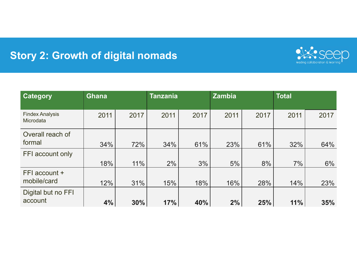## **Story 2: Growth of digital nomads**



| Category                                   | <b>Ghana</b> |      | <b>Tanzania</b> |      | <b>Zambia</b> |      | <b>Total</b> |      |
|--------------------------------------------|--------------|------|-----------------|------|---------------|------|--------------|------|
| <b>Findex Analysis</b><br><b>Microdata</b> | 2011         | 2017 | 2011            | 2017 | 2011          | 2017 | 2011         | 2017 |
| Overall reach of<br>formal                 | 34%          | 72%  | 34%             | 61%  | 23%           | 61%  | 32%          | 64%  |
| FFI account only                           |              |      |                 |      |               |      |              |      |
|                                            | 18%          | 11%  | 2%              | 3%   | 5%            | 8%   | 7%           | 6%   |
| FFI account +<br>mobile/card               | 12%          | 31%  | 15%             | 18%  | 16%           | 28%  | 14%          | 23%  |
| Digital but no FFI<br>account              | 4%           | 30%  | 17%             | 40%  | 2%            | 25%  | 11%          | 35%  |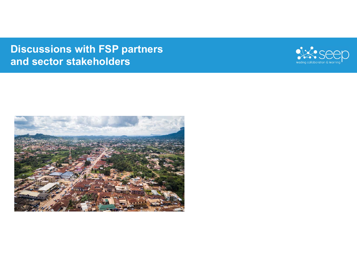## **Discussions with FSP partners and sector stakeholders**



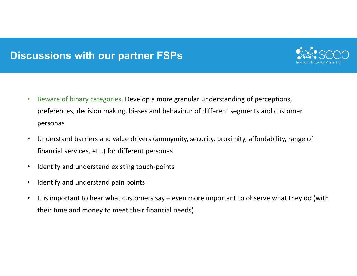#### **Discussions with our partner FSPs**



- $\bullet$  Beware of binary categories. Develop a more granular understanding of perceptions, preferences, decision making, biases and behaviour of different segments and customer personas
- • Understand barriers and value drivers (anonymity, security, proximity, affordability, range of financial services, etc.) for different personas
- •Identify and understand existing touch‐points
- •Identify and understand pain points
- • It is important to hear what customers say – even more important to observe what they do (with their time and money to meet their financial needs)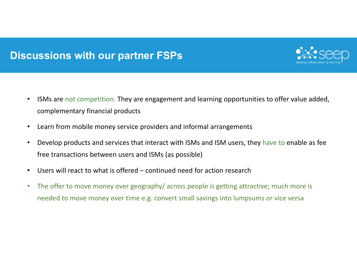#### **Discussions with our partner FSPs**



- • ISMs are not competition. They are engagement and learning opportunities to offer value added, complementary financial products
- •Learn from mobile money service providers and informal arrangements
- • Develop products and services that interact with ISMs and ISM users, they have to enable as fee free transactions between users and ISMs (as possible)
- •Users will react to what is offered – continued need for action research
- • The offer to move money over geography/ across people is getting attractive; much more is needed to move money over time e.g. convert small savings into lumpsums or vice versa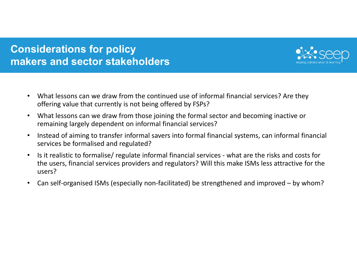### **Considerations for policy makers and sector stakeholders**



- $\bullet$  What lessons can we draw from the continued use of informal financial services? Are they offering value that currently is not being offered by FSPs?
- • What lessons can we draw from those joining the formal sector and becoming inactive or remaining largely dependent on informal financial services?
- • Instead of aiming to transfer informal savers into formal financial systems, can informal financial services be formalised and regulated?
- • Is it realistic to formalise/ regulate informal financial services ‐ what are the risks and costs for the users, financial services providers and regulators? Will this make ISMs less attractive for the users?
- •Can self-organised ISMs (especially non-facilitated) be strengthened and improved – by whom?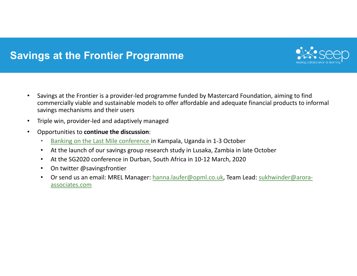#### **Savings at the Frontier Programme**



- • Savings at the Frontier is a provider‐led programme funded by Mastercard Foundation, aiming to find commercially viable and sustainable models to offer affordable and adequate financial products to informal savings mechanisms and their users
- •Triple win, provider‐led and adaptively managed
- • Opportunities to **continue the discussion**:
	- •Banking on the Last Mile conference in Kampala, Uganda in 1‐3 October
	- •At the launch of our savings group research study in Lusaka, Zambia in late October
	- •At the SG2020 conference in Durban, South Africa in 10‐12 March, 2020
	- •On twitter @savingsfrontier
	- • Or send us an email: MREL Manager: hanna.laufer@opml.co.uk, Team Lead: sukhwinder@arora‐ associates.com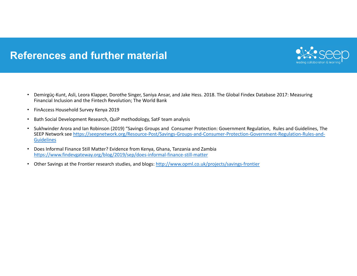#### **References and further material**



- • Demirgüç‐Kunt, Asli, Leora Klapper, Dorothe Singer, Saniya Ansar, and Jake Hess. 2018. The Global Findex Database 2017: Measuring Financial Inclusion and the Fintech Revolution; The World Bank
- FinAccess Household Survey Kenya 2019
- •Bath Social Development Research, QuiP methodology, SatF team analysis
- • Sukhwinder Arora and Ian Robinson (2019) "Savings Groups and Consumer Protection: Government Regulation, Rules and Guidelines, The SEEP Network see https://seepnetwork.org/Resource‐Post/Savings‐Groups‐and‐Consumer‐Protection‐Government‐Regulation‐Rules‐and‐ Guidelines
- • Does Informal Finance Still Matter? Evidence from Kenya, Ghana, Tanzania and Zambia https://www.findevgateway.org/blog/2019/sep/does‐informal‐finance‐still‐matter
- •Other Savings at the Frontier research studies, and blogs: http://www.opml.co.uk/projects/savings-frontier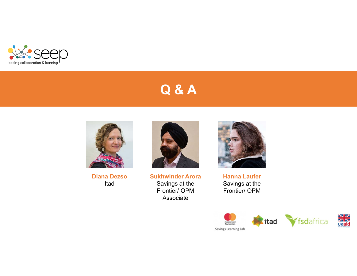

# **Q & A**



**Diana Dezso**Itad



**Sukhwinder Arora** Savings at the Frontier/ OPM Associate



**Hanna Laufer**  Savings at the Frontier/ OPM

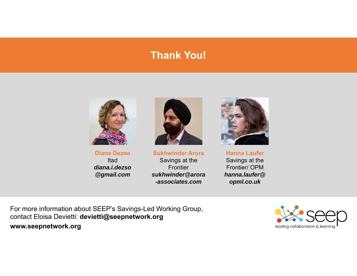#### **Thank you! Thank You!**



**Diana Dezso**Itad*diana.i.dezso@gmail.com*



**Sukhwinder Arora** Savings at the **Frontier** *sukhwinder@arora -associates.com*



**Hanna Laufer** Savings at the Frontier/ OPM*hanna.laufer@opml.co.uk*

For more information about SEEP's Savings-Led Working Group, contact Eloisa Devietti: **devietti@seepnetwork.org www.seepnetwork.org**